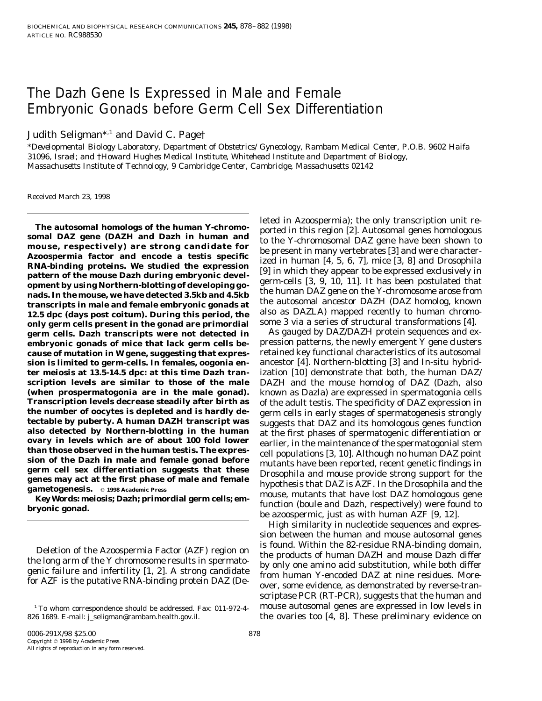# The *Dazh* Gene Is Expressed in Male and Female Embryonic Gonads before Germ Cell Sex Differentiation

Judith Seligman<sup>\*,1</sup> and David C. Page†

\**Developmental Biology Laboratory, Department of Obstetrics/Gynecology, Rambam Medical Center, P.O.B. 9602 Haifa 31096, Israel; and* †*Howard Hughes Medical Institute, Whitehead Institute and Department of Biology, Massachusetts Institute of Technology, 9 Cambridge Center, Cambridge, Massachusetts 02142*

Received March 23, 1998

**nads. In the mouse, we have detected 3.5kb and 4.5kb**<br>**nads. In the mouse, we have detected 3.5kb and 4.5kb** the human DAZ gene on the Y-chromosome arose from<br>**transcripts in male and famale ambuscanic generate at** the au transcripts in male and female embryonic gonads at<br>12.5 dpc (days post coitum). During this period, the also as DAZLA) mapped recently to human chromo-<br>**12.5 dpc (days post coitum). During this period, the** also as DAZLA) **only germ cells present in the gonad are primordial** some 3 via a series of structural transformations [4]. germ cells. Dazh transcripts were not detected in **embryonic gonads of mice that lack germ cells be-** pression patterns, the newly emergent Y gene clusters **cause of mutation in W gene, suggesting that expres-** retained key functional characteristics of its autosomal **sion is limited to germ-cells. In females, oogonia en-** ancestor [4]. Northern-blotting [3] and In-situ hybrid**ter meiosis at 13.5-14.5 dpc: at this time Dazh tran-** ization [10] demonstrate that both, the human DAZ/ **scription levels are similar to those of the male** DAZH and the mouse homolog of DAZ (Dazh, also **(when prospermatogonia are in the male gonad).** known as Dazla) are expressed in spermatogonia cells **Transcription levels decrease steadily after birth as** of the adult testis. The specificity of DAZ expression in

826 1689. E-mail: j\_seligman@rambam.health.gov.il. the ovaries too [4, 8]. These preliminary evidence on

The autosomal homologs of the human Y-chromo-<br>somal DAZ gene (DAZH and Dazh in human and<br>mouse, respectively) are strong candidate for<br>Azoospermia factor and encode a testis specific<br>RNA-binding proteins. We studied the ex

the number of oocytes is depleted and is hardly de-<br>
tectable by puberty. A human DAZH transcript was<br>
also detected by Northern-blotting in the human<br>
also detected by Northern-blotting in the human<br>
at the first phases

High similarity in nucleotide sequences and expression between the human and mouse autosomal genes Deletion of the Azoospermia Factor (AZF) region on<br>the products of human DAZH and mouse Dazh differ<br>the long arm of the Y chromosome results in spermato-<br>genic failure and infertility [1, 2]. A strong candidate<br>for AZF is scriptase PCR (RT-PCR), suggests that the human and  $1$  To whom correspondence should be addressed. Fax: 011-972-4- mouse autosomal genes are expressed in low levels in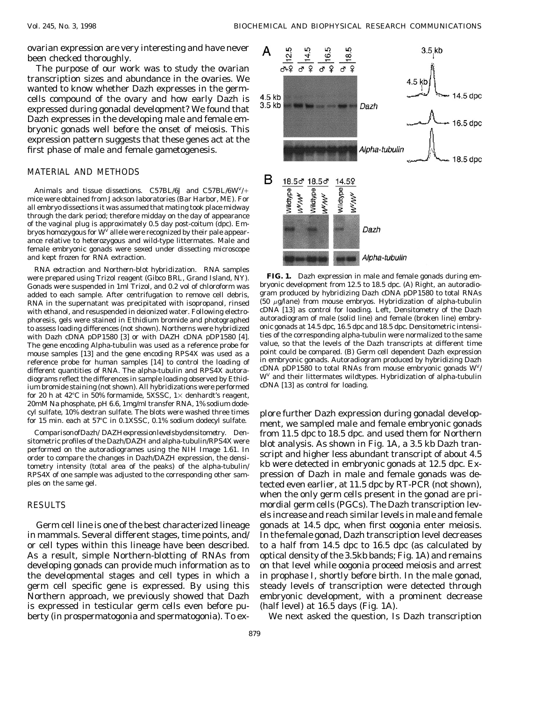ovarian expression are very interesting and have never been checked thoroughly.

The purpose of our work was to study the ovarian transcription sizes and abundance in the ovaries. We wanted to know whether Dazh expresses in the germcells compound of the ovary and how early Dazh is expressed during gonadal development? We found that Dazh expresses in the developing male and female embryonic gonads well before the onset of meiosis. This expression pattern suggests that these genes act at the first phase of male and female gametogenesis.

## MATERIAL AND METHODS

*Animals and tissue dissections.* C57BL/6J and C57BL/6W<sup>V</sup>/+ mice were obtained from Jackson laboratories (Bar Harbor, ME). For all embryo dissections it was assumed that mating took place midway through the dark period; therefore midday on the day of appearance of the vaginal plug is approximately 0.5 day post-coitum (dpc). Embryos homozygous for  $\mathrm{W}^\mathrm{V}$  allele were recognized by their pale appearance relative to heterozygous and wild-type littermates. Male and female embryonic gonads were sexed under dissecting microscope and kept frozen for RNA extraction.

*RNA extraction and Northern-blot hybridization.* RNA samples were prepared using Trizol reagent (Gibco BRL, Grand Island, NY). **FIG. 1.** Dazh expression in male and female gonads during em-<br>Gonads were suspended in 1ml Trizol, and 0.2 vol of chloroform was bryonic development from 1 RNA in the supernatant was precipitated with isopropanol, rinsed phoresis, gels were stained in Ethidium bromide and photographed reference probe for human samples [14] to control the loading of different quantities of RNA. The alpha-tubulin and RPS4X autoradiograms reflect the differences in sample loading observed by Ethidium bromide staining (not shown). All hybridizations were performed for 20 h at 42°C in 50% formamide, 5XSSC,  $1 \times$  denhardt's reagent, 20mM Na phosphate, pH 6.6, 1mg/ml transfer RNA, 1% sodium dode-

in mammals. Several different stages, time points, and/ In the female gonad, Dazh transcription level decreases or cell types within this lineage have been described. to a half from 14.5 dpc to 16.5 dpc (as calculated by As a result, simple Northern-blotting of RNAs from optical density of the 3.5kb bands; Fig. 1A) and remains developing gonads can provide much information as to on that level while oogonia proceed meiosis and arrest the developmental stages and cell types in which a in prophase I, shortly before birth. In the male gonad, germ cell specific gene is expressed. By using this steady levels of transcription were detected through Northern approach, we previously showed that Dazh embryonic development, with a prominent decrease is expressed in testicular germ cells even before pu- (half level) at 16.5 days (Fig. 1A). berty (in prospermatogonia and spermatogonia). To ex- We next asked the question, Is Dazh transcription



Gonads were suspended in 1ml Trizol, and 0.2 vol of chloroform was bryonic development from 12.5 to 18.5 dpc. (A) Right, an autoradio-<br>added to each sample. After centrifugation to remove cell debris gram produced by hybri added to each sample. After centrifugation to remove cell debris, gram produced by hybridizing Dazh cDNA pDP1580 to total RNAs<br>RNA in the superpatant was precipitated with isopropanol, ripsed (50 µg/lane) from mouse embryo with ethanol, and resuspended in deionized water. Following electro-<br>phoresis, gels were stained in Ethidium bromide and photographed autoradiogram of male (solid line) and female (broken line) embryto assess loading differences (not shown). Northerns were hybridized onic gonads at 14.5 dpc, 16.5 dpc and 18.5 dpc. Densitometric intensi-<br>with Dazh cDNA pDP1580 [3] or with DAZH cDNA pDP1580 [4] ties of the corresponding with Dazh cDNA pDP1580 [3] or with DAZH cDNA pDP1580 [4]. ties of the corresponding alpha-tubulin were normalized to the same<br>The gene encoding Alpha-tubulin was used as a reference probe for value, so that the levels of t The gene encoding Alpha-tubulin was used as a reference probe for value, so that the levels of the Dazh transcripts at different time<br>mouse samples [13] and the gene encoding RPS4X was used as a point could be compared. (B mouse samples [13] and the gene encoding RPS4X was used as a point could be compared. (B) Germ cell dependent Dazh expression<br>reference probe for human samples [14] to control the loading of in embryonic gonads. Autoradiog cDNA pDP1580 to total RNAs from mouse embryonic gonads  $W<sup>V</sup>/$  $W<sup>V</sup>$  and their littermates wildtypes. Hybridization of alpha-tubulin cDNA [13] as control for loading.

cyl sulfate, 10% dextran sulfate. The blots were washed three times plore further Dazh expression during gonadal develop-<br>for 15 min. each at 57°C in 0.1XSSC, 0.1% sodium dodecyl sulfate. ment, we sampled male and female e ComparisonofDazh/DAZHexpressionlevelsbydensitometry. Den-<br>sitometric profiles of the Dazh/DAZH and alpha-tubulin/RPS4X were<br>performed on the autoradiogrames using the NIH Image 1.61. In<br>order to compare the changes in Dazh RPS4X of one sample was adjusted to the corresponding other sam- pression of Dazh in male and female gonads was deples on the same gel. the same gel. the same gelected even earlier, at 11.5 dpc by RT-PCR (not shown), when the only germ cells present in the gonad are pri-RESULTS **EXECULTS** mordial germ cells (PGCs). The Dazh transcription levels increase and reach similar levels in male and female Germ cell line is one of the best characterized lineage gonads at 14.5 dpc, when first oogonia enter meiosis.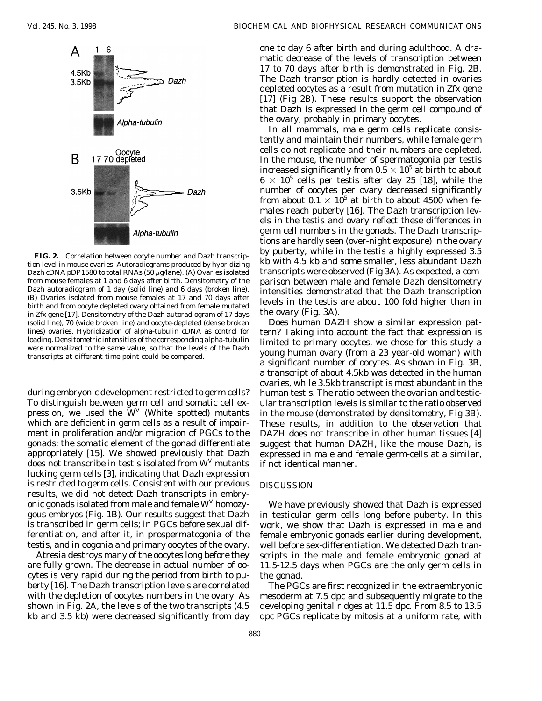

from mouse females at 1 and 6 days after birth. Densitometry of the<br>Dazh autoradiogram of 1 day (solid line) and 6 days (broken line).<br>
(B) Ovaries isolated from mouse females at 17 and 70 days after<br>
birth and from oocyte (solid line), 70 (wide broken line) and oocyte-depleted (dense broken

appropriately [15]. We showed previously that Dazh expressed in male and female germ-cells at a similar, does not transcribe in testis isolated from  $W<sup>V</sup>$  mutants if not identical manner. lucking germ cells [3], indicating that Dazh expression is restricted to germ cells. Consistent with our previous DISCUSSION results, we did not detect Dazh transcripts in embryonic gonads isolated from male and female  $W<sup>V</sup>$  homozy-<br>We have previously showed that Dazh is expressed

cytes is very rapid during the period from birth to pu- the gonad. berty [16]. The Dazh transcription levels are correlated The PGCs are first recognized in the extraembryonic

one to day 6 after birth and during adulthood. A dramatic decrease of the levels of transcription between 17 to 70 days after birth is demonstrated in Fig. 2B. The Dazh transcription is hardly detected in ovaries depleted oocytes as a result from mutation in Zfx gene [17] (Fig 2B). These results support the observation that Dazh is expressed in the germ cell compound of the ovary, probably in primary oocytes.

In all mammals, male germ cells replicate consistently and maintain their numbers, while female germ cells do not replicate and their numbers are depleted. In the mouse, the number of spermatogonia per testis increased significantly from  $0.5 \times 10^5$  at birth to about  $6 \times 10^5$  cells per testis after day 25 [18], while the number of oocytes per ovary decreased significantly from about  $0.1 \times 10^5$  at birth to about 4500 when females reach puberty [16]. The Dazh transcription levels in the testis and ovary reflect these differences in germ cell numbers in the gonads. The Dazh transcriptions are hardly seen (over-night exposure) in the ovary by puberty, while in the testis a highly expressed 3.5 **FIG. 2.** Correlation between oocyte number and Dazh transcription level in mouse ovaries. Autoradiograms produced by hybridizing kb with 4.5 kb and some smaller, less abundant Dazh Dazh cDNA pDP1580 to total RNAs (50  $\mu$ g/lane). (A) Ovaries isolated transcripts were observed (Fig 3A). As expected, a com-

lines) ovaries. Hybridization of alpha-tubulin cDNA as control for<br>loading. Densitometric intensities of the corresponding alpha-tubulin<br>were normalized to the same value, so that the levels of the Dazh<br>transcripts at diff a transcript of about 4.5kb was detected in the human ovaries, while 3.5kb transcript is most abundant in the during embryonic development restricted to germ cells? human testis. The ratio between the ovarian and testic-<br>To distinguish between germ cell and somatic cell ex-ular transcription levels is similar to the ratio observed ular transcription levels is similar to the ratio observed pression, we used the  $W<sup>V</sup>$  (White spotted) mutants in the mouse (demonstrated by densitometry, Fig 3B). which are deficient in germ cells as a result of impair-<br>These results, in addition to the observation that ment in proliferation and/or migration of PGCs to the DAZH does not transcribe in other human tissues [4] gonads; the somatic element of the gonad differentiate suggest that human DAZH, like the mouse Dazh, is

gous embryos (Fig. 1B). Our results suggest that Dazh in testicular germ cells long before puberty. In this is transcribed in germ cells; in PGCs before sexual dif- work, we show that Dazh is expressed in male and ferentiation, and after it, in prospermatogonia of the female embryonic gonads earlier during development, testis, and in oogonia and primary oocytes of the ovary. well before sex-differentiation. We detected Dazh tran-Atresia destroys many of the oocytes long before they scripts in the male and female embryonic gonad at are fully grown. The decrease in actual number of oo- 11.5-12.5 days when PGCs are the only germ cells in

with the depletion of oocytes numbers in the ovary. As mesoderm at 7.5 dpc and subsequently migrate to the shown in Fig. 2A, the levels of the two transcripts (4.5 developing genital ridges at 11.5 dpc. From 8.5 to 13.5 kb and 3.5 kb) were decreased significantly from day dpc PGCs replicate by mitosis at a uniform rate, with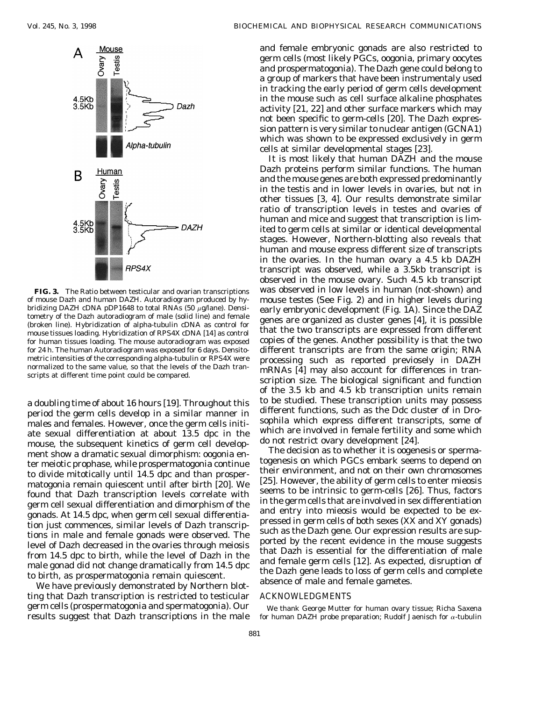

for human tissues loading. The mouse autoradiogram was exposed

males and females. However, once the germ cells initiate sexual differentiation at about 13.5 dpc in the which are involved in female fertility and some which mouse the subsequent kinetics of germ cell development do not restrict ovary development [24]. mouse, the subsequent kinetics of germ cell develop-<br>ment show a dramatic sexual dimorphism: oggonia en. The decision as to whether it is oogenesis or spermament show a dramatic sexual dimorphism: oogonia en-<br>ter meigtic prophase, while prospermatogonia continue togenesis on which PGCs embark seems to depend on ter meiotic prophase, while prospermatogonia continue to divide mitotically until 14.5 dpc and than prosper-<br>their environment, and not on their own chromosomes  $\frac{1}{25}$  remain quiescent until after birth  $\frac{20}{25}$ . We  $\frac{25}{25}$ . However, the ability of germ cells to enter mieosis mategonia remain quiescent until after birth  $\frac{20}{25}$ . We seems to be intrinsic to germ-cel

ting that Dazh transcription is restricted to testicular ACKNOWLEDGMENTS germ cells (prospermatogonia and spermatogonia). Our we thank George Mutter for human ovary tissue: Richa Saxena

and female embryonic gonads are also restricted to germ cells (most likely PGCs, oogonia, primary oocytes and prospermatogonia). The Dazh gene could belong to a group of markers that have been instrumentaly used in tracking the early period of germ cells development in the mouse such as cell surface alkaline phosphates activity [21, 22] and other surface markers which may not been specific to germ-cells [20]. The Dazh expression pattern is very similar to nuclear antigen (GCNA1) which was shown to be expressed exclusively in germ cells at similar developmental stages [23].

It is most likely that human DAZH and the mouse Dazh proteins perform similar functions. The human and the mouse genes are both expressed predominantly in the testis and in lower levels in ovaries, but not in other tissues [3, 4]. Our results demonstrate similar ratio of transcription levels in testes and ovaries of human and mice and suggest that transcription is limited to germ cells at similar or identical developmental stages. However, Northern-blotting also reveals that human and mouse express different size of transcripts in the ovaries. In the human ovary a 4.5 kb DAZH transcript was observed, while a 3.5kb transcript is observed in the mouse ovary. Such 4.5 kb transcript **FIG. 3.** The Ratio between testicular and ovarian transcriptions was observed in low levels in human (not-shown) and of mouse Dazh and human DAZH. Autoradiogram produced by hy-<br>bridizing DAZH cDNA pDP1648 to total RNAs (50 µg/lane). Densi- early embryonic development (Fig. 1A). Since the DAZ bridizing DAZH cDNA pDP1648 to total RNAs (50  $\mu$ g/lane). Densi-<br>tometry of the Dazh autoradiogram of male (solid line) and female<br>(broken line). Hybridization of alpha-tubulin cDNA as control for mouse tissues loading. Hybridization of appla-tubulm CDNA as control to that the two transcripts are expressed from different mouse tissues loading. Hybridization of RPS4X cDNA [14] as control that the two transcripts are for 24 h. The human Autoradiogram was exposed for 6 days. Densito-<br>metric intensities of the corresponding alpha-tubulin or RPS4X were<br>more saint sails are not be proorted previosely in DAZH metric intensities of the corresponding alpha-tubulin or RPS4X were<br>normalized to the same value, so that the levels of the Dazh tran-<br>scripts at different time point could be compared.<br>Scription size. The biological signi of the 3.5 kb and 4.5 kb transcription units remain to be studied. These transcription units may possess a doubling time of about 16 hours [19]. Throughout this different functions, such as the Ddc cluster of in Dro-<br>period the germ cells develop in a similar manner in soph

Found that Dazh transcription levels correlate with<br>
germ cell sexual differentiation and dimorphism of the<br>
germ cell sexual differentiation and dimorphism of the<br>
gonads. At 14.5 dpc, when germ cell sexual differentia-<br>

results suggest that Dazh transcriptions in the male for human DAZH probe preparation; Rudolf Jaenisch for  $\alpha$ -tubulin